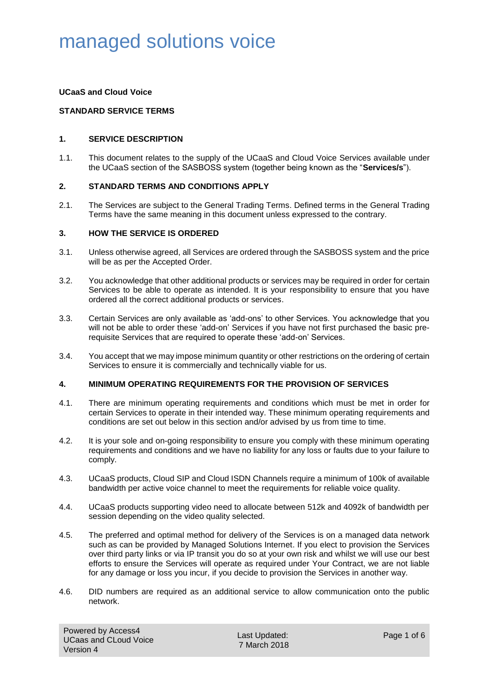### **UCaaS and Cloud Voice**

### **STANDARD SERVICE TERMS**

### **1. SERVICE DESCRIPTION**

1.1. This document relates to the supply of the UCaaS and Cloud Voice Services available under the UCaaS section of the SASBOSS system (together being known as the "**Services/s**").

#### **2. STANDARD TERMS AND CONDITIONS APPLY**

2.1. The Services are subject to the General Trading Terms. Defined terms in the General Trading Terms have the same meaning in this document unless expressed to the contrary.

#### **3. HOW THE SERVICE IS ORDERED**

- 3.1. Unless otherwise agreed, all Services are ordered through the SASBOSS system and the price will be as per the Accepted Order.
- 3.2. You acknowledge that other additional products or services may be required in order for certain Services to be able to operate as intended. It is your responsibility to ensure that you have ordered all the correct additional products or services.
- 3.3. Certain Services are only available as 'add-ons' to other Services. You acknowledge that you will not be able to order these 'add-on' Services if you have not first purchased the basic prerequisite Services that are required to operate these 'add-on' Services.
- 3.4. You accept that we may impose minimum quantity or other restrictions on the ordering of certain Services to ensure it is commercially and technically viable for us.

### **4. MINIMUM OPERATING REQUIREMENTS FOR THE PROVISION OF SERVICES**

- 4.1. There are minimum operating requirements and conditions which must be met in order for certain Services to operate in their intended way. These minimum operating requirements and conditions are set out below in this section and/or advised by us from time to time.
- 4.2. It is your sole and on-going responsibility to ensure you comply with these minimum operating requirements and conditions and we have no liability for any loss or faults due to your failure to comply.
- 4.3. UCaaS products, Cloud SIP and Cloud ISDN Channels require a minimum of 100k of available bandwidth per active voice channel to meet the requirements for reliable voice quality.
- 4.4. UCaaS products supporting video need to allocate between 512k and 4092k of bandwidth per session depending on the video quality selected.
- 4.5. The preferred and optimal method for delivery of the Services is on a managed data network such as can be provided by Managed Solutions Internet. If you elect to provision the Services over third party links or via IP transit you do so at your own risk and whilst we will use our best efforts to ensure the Services will operate as required under Your Contract, we are not liable for any damage or loss you incur, if you decide to provision the Services in another way.
- 4.6. DID numbers are required as an additional service to allow communication onto the public network.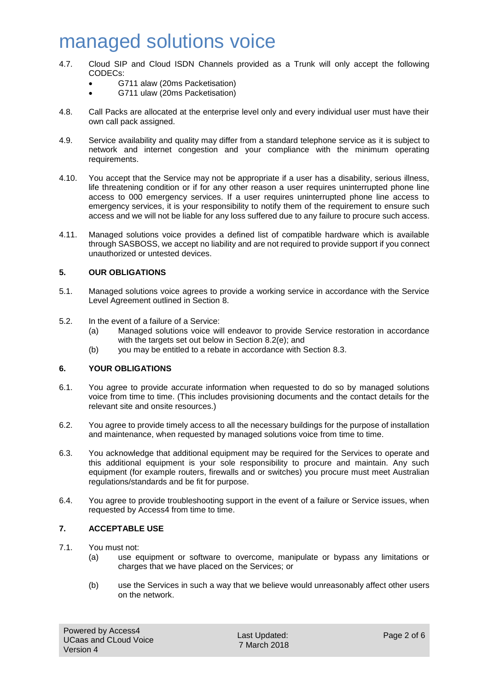- 4.7. Cloud SIP and Cloud ISDN Channels provided as a Trunk will only accept the following CODECs:
	- G711 alaw (20ms Packetisation)
	- G711 ulaw (20ms Packetisation)
- 4.8. Call Packs are allocated at the enterprise level only and every individual user must have their own call pack assigned.
- 4.9. Service availability and quality may differ from a standard telephone service as it is subject to network and internet congestion and your compliance with the minimum operating requirements.
- 4.10. You accept that the Service may not be appropriate if a user has a disability, serious illness, life threatening condition or if for any other reason a user requires uninterrupted phone line access to 000 emergency services. If a user requires uninterrupted phone line access to emergency services, it is your responsibility to notify them of the requirement to ensure such access and we will not be liable for any loss suffered due to any failure to procure such access.
- 4.11. Managed solutions voice provides a defined list of compatible hardware which is available through SASBOSS, we accept no liability and are not required to provide support if you connect unauthorized or untested devices.

### **5. OUR OBLIGATIONS**

- 5.1. Managed solutions voice agrees to provide a working service in accordance with the Service Level Agreement outlined in Section [8.](#page-2-0)
- 5.2. In the event of a failure of a Service:
	- (a) Managed solutions voice will endeavor to provide Service restoration in accordance with the targets set out below in Section [8.2\(e\);](#page-3-0) and
	- (b) you may be entitled to a rebate in accordance with Section [8.3.](#page-4-0)

## **6. YOUR OBLIGATIONS**

- 6.1. You agree to provide accurate information when requested to do so by managed solutions voice from time to time. (This includes provisioning documents and the contact details for the relevant site and onsite resources.)
- 6.2. You agree to provide timely access to all the necessary buildings for the purpose of installation and maintenance, when requested by managed solutions voice from time to time.
- 6.3. You acknowledge that additional equipment may be required for the Services to operate and this additional equipment is your sole responsibility to procure and maintain. Any such equipment (for example routers, firewalls and or switches) you procure must meet Australian regulations/standards and be fit for purpose.
- 6.4. You agree to provide troubleshooting support in the event of a failure or Service issues, when requested by Access4 from time to time.

### **7. ACCEPTABLE USE**

- 7.1. You must not:
	- (a) use equipment or software to overcome, manipulate or bypass any limitations or charges that we have placed on the Services; or
	- (b) use the Services in such a way that we believe would unreasonably affect other users on the network.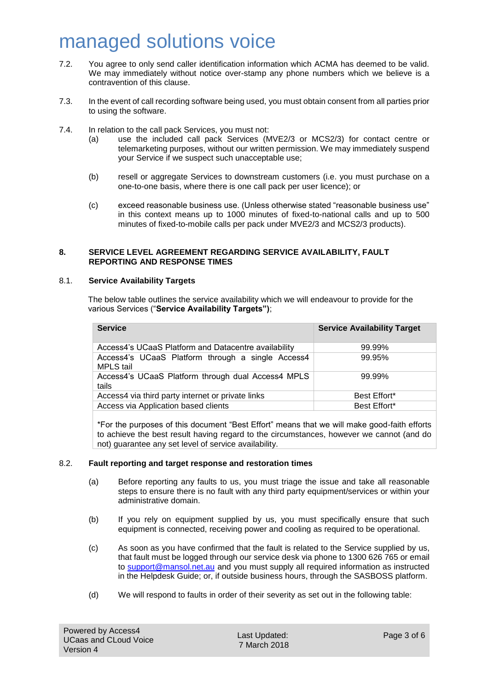- 7.2. You agree to only send caller identification information which ACMA has deemed to be valid. We may immediately without notice over-stamp any phone numbers which we believe is a contravention of this clause.
- 7.3. In the event of call recording software being used, you must obtain consent from all parties prior to using the software.
- 7.4. In relation to the call pack Services, you must not:
	- (a) use the included call pack Services (MVE2/3 or MCS2/3) for contact centre or telemarketing purposes, without our written permission. We may immediately suspend your Service if we suspect such unacceptable use;
	- (b) resell or aggregate Services to downstream customers (i.e. you must purchase on a one-to-one basis, where there is one call pack per user licence); or
	- (c) exceed reasonable business use. (Unless otherwise stated "reasonable business use" in this context means up to 1000 minutes of fixed-to-national calls and up to 500 minutes of fixed-to-mobile calls per pack under MVE2/3 and MCS2/3 products).

### <span id="page-2-0"></span>**8. SERVICE LEVEL AGREEMENT REGARDING SERVICE AVAILABILITY, FAULT REPORTING AND RESPONSE TIMES**

#### <span id="page-2-1"></span>8.1. **Service Availability Targets**

The below table outlines the service availability which we will endeavour to provide for the various Services ("**Service Availability Targets")**;

| <b>Service</b>                                                 | <b>Service Availability Target</b> |
|----------------------------------------------------------------|------------------------------------|
| Access4's UCaaS Platform and Datacentre availability           | 99.99%                             |
| Access4's UCaaS Platform through a single Access4<br>MPLS tail | 99.95%                             |
| Access4's UCaaS Platform through dual Access4 MPLS<br>tails    | 99.99%                             |
| Access4 via third party internet or private links              | Best Effort*                       |
| Access via Application based clients                           | Best Effort*                       |
|                                                                |                                    |

\*For the purposes of this document "Best Effort" means that we will make good-faith efforts to achieve the best result having regard to the circumstances, however we cannot (and do not) guarantee any set level of service availability.

### 8.2. **Fault reporting and target response and restoration times**

- (a) Before reporting any faults to us, you must triage the issue and take all reasonable steps to ensure there is no fault with any third party equipment/services or within your administrative domain.
- (b) If you rely on equipment supplied by us, you must specifically ensure that such equipment is connected, receiving power and cooling as required to be operational.
- <span id="page-2-2"></span>(c) As soon as you have confirmed that the fault is related to the Service supplied by us, that fault must be logged through our service desk via phone to 1300 626 765 or email to [support@mansol.net.au](mailto:support@mansol.net.au) and you must supply all required information as instructed in the Helpdesk Guide; or, if outside business hours, through the SASBOSS platform.
- (d) We will respond to faults in order of their severity as set out in the following table: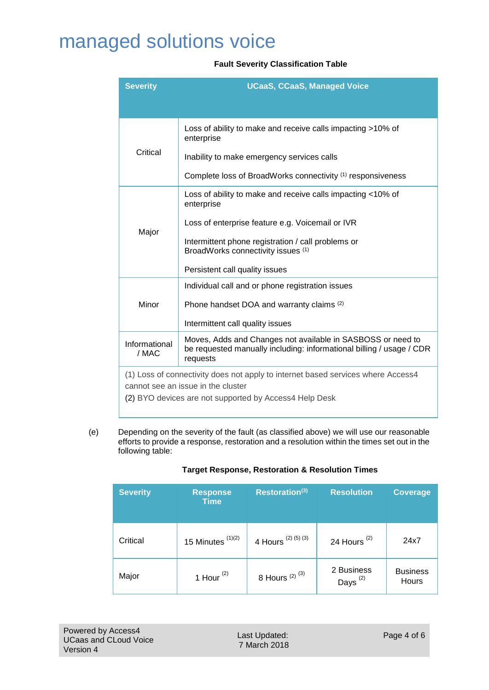### **Fault Severity Classification Table**

| <b>Severity</b>        | <b>UCaaS, CCaaS, Managed Voice</b>                                                                                                              |  |
|------------------------|-------------------------------------------------------------------------------------------------------------------------------------------------|--|
|                        |                                                                                                                                                 |  |
|                        | Loss of ability to make and receive calls impacting >10% of<br>enterprise                                                                       |  |
| Critical               | Inability to make emergency services calls                                                                                                      |  |
|                        | Complete loss of BroadWorks connectivity (1) responsiveness                                                                                     |  |
|                        | Loss of ability to make and receive calls impacting <10% of<br>enterprise                                                                       |  |
| Major                  | Loss of enterprise feature e.g. Voicemail or IVR                                                                                                |  |
|                        | Intermittent phone registration / call problems or<br>BroadWorks connectivity issues (1)                                                        |  |
|                        | Persistent call quality issues                                                                                                                  |  |
|                        | Individual call and or phone registration issues                                                                                                |  |
| Minor                  | Phone handset DOA and warranty claims (2)                                                                                                       |  |
|                        | Intermittent call quality issues                                                                                                                |  |
| Informational<br>/ MAC | Moves, Adds and Changes not available in SASBOSS or need to<br>be requested manually including: informational billing / usage / CDR<br>requests |  |
|                        | (1) Loss of connectivity does not apply to internet based services where Access4                                                                |  |
|                        | cannot see an issue in the cluster<br>(2) BYO devices are not supported by Access4 Help Desk                                                    |  |

<span id="page-3-0"></span>(e) Depending on the severity of the fault (as classified above) we will use our reasonable efforts to provide a response, restoration and a resolution within the times set out in the following table:

## **Target Response, Restoration & Resolution Times**

| <b>Severity</b> | <b>Response</b><br><b>Time</b> | Restoration(3)               | <b>Resolution</b>           | Coverage                 |
|-----------------|--------------------------------|------------------------------|-----------------------------|--------------------------|
| Critical        | 15 Minutes $(1)(2)$            | 4 Hours <sup>(2)(5)(3)</sup> | 24 Hours $(2)$              | 24x7                     |
| Major           | 1 Hour $(2)$                   | 8 Hours $(2)$ $(3)$          | 2 Business<br>Days $^{(2)}$ | <b>Business</b><br>Hours |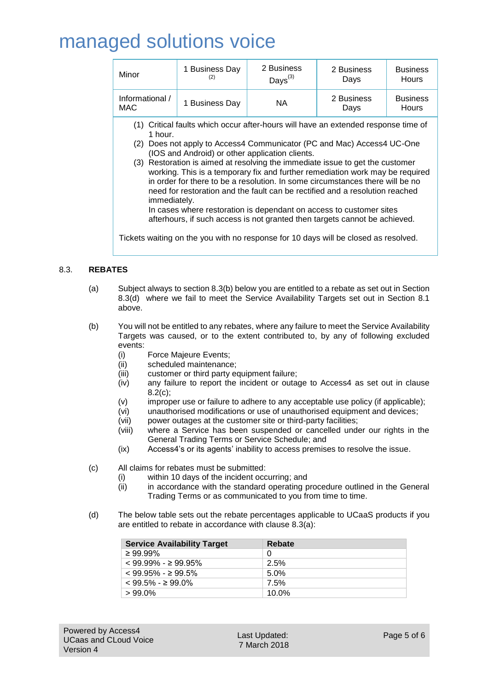| Minor                                                                                                                                                                                                                                                                                                                                                                                                                                                                                                                                                                                                                                                                                                                                                                                                                               | 1 Business Day<br>(2) | 2 Business<br>$\mathsf{Days}^{(3)}$ | 2 Business<br>Days | <b>Business</b><br><b>Hours</b> |
|-------------------------------------------------------------------------------------------------------------------------------------------------------------------------------------------------------------------------------------------------------------------------------------------------------------------------------------------------------------------------------------------------------------------------------------------------------------------------------------------------------------------------------------------------------------------------------------------------------------------------------------------------------------------------------------------------------------------------------------------------------------------------------------------------------------------------------------|-----------------------|-------------------------------------|--------------------|---------------------------------|
| Informational /<br>MAC                                                                                                                                                                                                                                                                                                                                                                                                                                                                                                                                                                                                                                                                                                                                                                                                              | 1 Business Day        | NA.                                 | 2 Business<br>Days | <b>Business</b><br><b>Hours</b> |
| (1) Critical faults which occur after-hours will have an extended response time of<br>1 hour.<br>Does not apply to Access4 Communicator (PC and Mac) Access4 UC-One<br>(2)<br>(IOS and Android) or other application clients.<br>(3) Restoration is aimed at resolving the immediate issue to get the customer<br>working. This is a temporary fix and further remediation work may be required<br>in order for there to be a resolution. In some circumstances there will be no<br>need for restoration and the fault can be rectified and a resolution reached<br><i>immediately.</i><br>In cases where restoration is dependant on access to customer sites<br>afterhours, if such access is not granted then targets cannot be achieved.<br>Tickets waiting on the you with no response for 10 days will be closed as resolved. |                       |                                     |                    |                                 |

### <span id="page-4-3"></span><span id="page-4-0"></span>8.3. **REBATES**

- (a) Subject always to section [8.3\(b\)](#page-4-1) below you are entitled to a rebate as set out in Section [8.3\(d\)](#page-4-2) where we fail to meet the Service Availability Targets set out in Section [8.1](#page-2-1) above.
- <span id="page-4-1"></span>(b) You will not be entitled to any rebates, where any failure to meet the Service Availability Targets was caused, or to the extent contributed to, by any of following excluded events:
	- (i) Force Majeure Events;
	- (ii) scheduled maintenance;
	- (iii) customer or third party equipment failure;
	- (iv) any failure to report the incident or outage to Access4 as set out in clause [8.2\(c\);](#page-2-2)
	- (v) improper use or failure to adhere to any acceptable use policy (if applicable);
	- (vi) unauthorised modifications or use of unauthorised equipment and devices;
	- (vii) power outages at the customer site or third-party facilities;
	- (viii) where a Service has been suspended or cancelled under our rights in the General Trading Terms or Service Schedule; and
	- (ix) Access4's or its agents' inability to access premises to resolve the issue.
- (c) All claims for rebates must be submitted:
	- (i) within 10 days of the incident occurring; and
	- (ii) in accordance with the standard operating procedure outlined in the General Trading Terms or as communicated to you from time to time.
- <span id="page-4-2"></span>(d) The below table sets out the rebate percentages applicable to UCaaS products if you are entitled to rebate in accordance with clause [8.3\(a\):](#page-4-3)

| <b>Service Availability Target</b> | Rebate  |
|------------------------------------|---------|
| $\geq 99.99\%$                     | 0       |
| $< 99.99\% -> 99.95\%$             | 2.5%    |
| $<$ 99.95% - $\geq$ 99.5%          | $5.0\%$ |
| $<$ 99.5% - $\geq$ 99.0%           | 7.5%    |
| $>99.0\%$                          | 10.0%   |